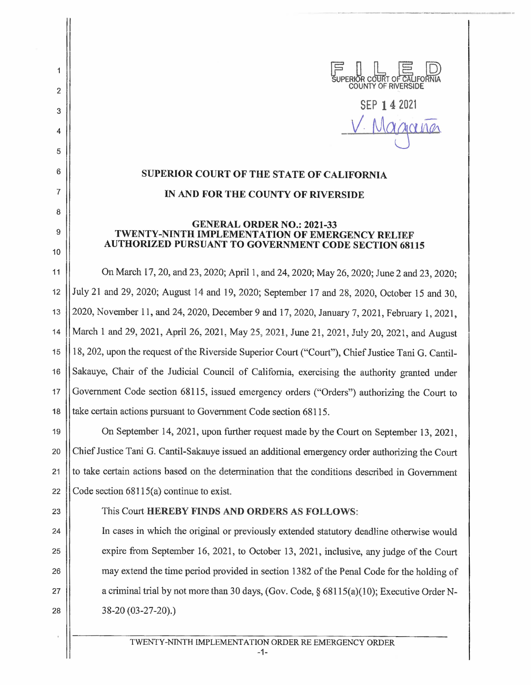

SEP 14 2021 Magarina

## **SUPERIOR COURT OF THE STATE OF CALIFORNIA IN AND FOR THE COUNTY OF RIVERSIDE**

## **GENERAL ORDER NO.: 2021-33 TWENTY-NINTH IMPLEMENTATION OF EMERGENCY RELIEF AUTHORIZED PURSUANT TO GOVERNMENT CODE SECTION 68115**

11 On March 17, 20, and 23, 2020; April 1, and 24, 2020; May 26, 2020; June 2 and 23, 2020; 12 July 21 and 29, 2020; August 14 and 19, 2020; September 17 and 28, 2020, October 15 and 30, 13 2020, November 11, and 24, 2020, December 9 and 17, 2020, January 7, 2021, February 1, 2021, 14 || March 1 and 29, 2021, April 26, 2021, May 25, 2021, June 21, 2021, July 20, 2021, and August 15 18, 202, upon the request of the Riverside Superior Court ("Court"), Chief Justice Tani G. Cantil-16 Sakauye, Chair of the Judicial Council of California, exercising the authority granted under 17 Government Code section 68115, issued emergency orders ("Orders") authorizing the Court to 18 || take certain actions pursuant to Government Code section 68115.

19 On September 14, 2021, upon further request made by the Court on September 13, 2021, 20 Chief Justice Tani G. Cantil-Sakauye issued an additional emergency order authorizing the Court 21 to take certain actions based on the determination that the conditions described in Government 22  $\vert$  Code section 68115(a) continue to exist.

2

1

3

4

5

6

7

8

9

10

## 23 **This Court HEREBY FINDS AND ORDERS AS FOLLOWS:**

24 In cases in which the original or previously extended statutory deadline otherwise would 25 expire from September 16, 2021, to October 13, 2021, inclusive, any judge of the Court 26 may extend the time period provided in section 1382 of the Penal Code for the holding of 27 | a criminal trial by not more than 30 days, (Gov. Code,  $\S$  68115(a)(10); Executive Order N-28 38-20 (03-27-20).)